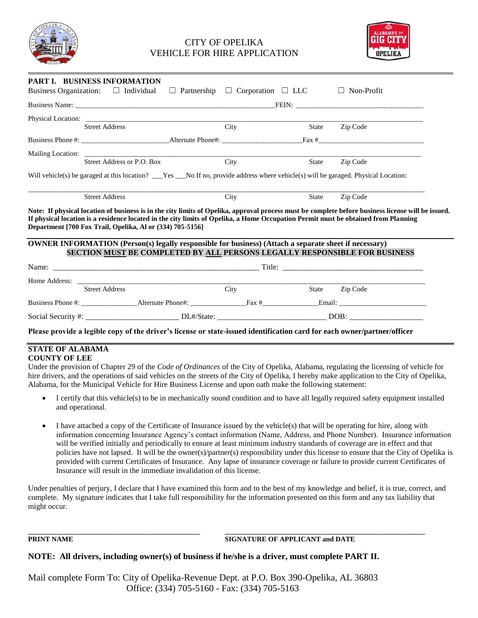

## CITY OF OPELIKA VEHICLE FOR HIRE APPLICATION



| PART I. BUSINESS INFORMATION             |                                                                                                                                                                                                                                                                                                                                                                                                                                                                       |                                                  |              |                      |  |  |
|------------------------------------------|-----------------------------------------------------------------------------------------------------------------------------------------------------------------------------------------------------------------------------------------------------------------------------------------------------------------------------------------------------------------------------------------------------------------------------------------------------------------------|--------------------------------------------------|--------------|----------------------|--|--|
| Business Organization: $\Box$ Individual |                                                                                                                                                                                                                                                                                                                                                                                                                                                                       | $\Box$ Partnership $\Box$ Corporation $\Box$ LLC |              | Non-Profit<br>$\Box$ |  |  |
|                                          |                                                                                                                                                                                                                                                                                                                                                                                                                                                                       |                                                  |              |                      |  |  |
|                                          |                                                                                                                                                                                                                                                                                                                                                                                                                                                                       |                                                  |              |                      |  |  |
|                                          | <b>Street Address</b>                                                                                                                                                                                                                                                                                                                                                                                                                                                 | City                                             | <b>State</b> | Zip Code             |  |  |
|                                          |                                                                                                                                                                                                                                                                                                                                                                                                                                                                       |                                                  |              |                      |  |  |
|                                          | Mailing Location:<br>Street Address or P.O. Box City                                                                                                                                                                                                                                                                                                                                                                                                                  |                                                  |              |                      |  |  |
|                                          |                                                                                                                                                                                                                                                                                                                                                                                                                                                                       |                                                  | State        | Zip Code             |  |  |
|                                          | Will vehicle(s) be garaged at this location? __Yes __No If no, provide address where vehicle(s) will be garaged. Physical Location:                                                                                                                                                                                                                                                                                                                                   |                                                  |              |                      |  |  |
|                                          | <b>Street Address</b>                                                                                                                                                                                                                                                                                                                                                                                                                                                 | City                                             | <b>State</b> | Zip Code             |  |  |
|                                          | Note: If physical location of business is in the city limits of Opelika, approval process must be complete before business license will be issued.<br>If physical location is a residence located in the city limits of Opelika, a Home Occupation Permit must be obtained from Planning<br>Department [700 Fox Trail, Opelika, Al or (334) 705-5156]<br><b>OWNER INFORMATION (Person(s) legally responsible for business) (Attach a separate sheet if necessary)</b> |                                                  |              |                      |  |  |
|                                          | SECTION MUST BE COMPLETED BY ALL PERSONS LEGALLY RESPONSIBLE FOR BUSINESS                                                                                                                                                                                                                                                                                                                                                                                             |                                                  |              |                      |  |  |
|                                          |                                                                                                                                                                                                                                                                                                                                                                                                                                                                       |                                                  |              |                      |  |  |
|                                          | Home Address: New York 1988.                                                                                                                                                                                                                                                                                                                                                                                                                                          |                                                  |              |                      |  |  |
|                                          | <b>Street Address</b>                                                                                                                                                                                                                                                                                                                                                                                                                                                 | City                                             | State        | Zip Code             |  |  |
|                                          |                                                                                                                                                                                                                                                                                                                                                                                                                                                                       |                                                  |              |                      |  |  |
|                                          |                                                                                                                                                                                                                                                                                                                                                                                                                                                                       |                                                  |              |                      |  |  |

**Please provide a legible copy of the driver's license or state-issued identification card for each owner/partner/officer**

#### **STATE OF ALABAMA COUNTY OF LEE**

Under the provision of Chapter 29 of the *Code of Ordinances* of the City of Opelika, Alabama, regulating the licensing of vehicle for hire drivers, and the operations of said vehicles on the streets of the City of Opelika, I hereby make application to the City of Opelika, Alabama, for the Municipal Vehicle for Hire Business License and upon oath make the following statement:

- I certify that this vehicle(s) to be in mechanically sound condition and to have all legally required safety equipment installed and operational.
- I have attached a copy of the Certificate of Insurance issued by the vehicle(s) that will be operating for hire, along with information concerning Insurance Agency's contact information (Name, Address, and Phone Number). Insurance information will be verified initially and periodically to ensure at least minimum industry standards of coverage are in effect and that policies have not lapsed. It will be the owner(s)/partner(s) responsibility under this license to ensure that the City of Opelika is provided with current Certificates of Insurance. Any lapse of insurance coverage or failure to provide current Certificates of Insurance will result in the immediate invalidation of this license.

Under penalties of perjury, I declare that I have examined this form and to the best of my knowledge and belief, it is true, correct, and complete. My signature indicates that I take full responsibility for the information presented on this form and any tax liability that might occur.

**\_\_\_\_\_\_\_\_\_\_\_\_\_\_\_\_\_\_\_\_\_\_\_\_\_\_\_\_\_\_\_\_\_\_\_\_\_\_\_\_\_\_\_\_\_\_\_\_\_ \_\_\_\_\_\_\_\_\_\_\_\_\_\_\_\_\_\_\_\_\_\_\_\_\_\_\_\_\_\_\_\_\_\_\_\_\_\_\_\_\_\_\_\_\_\_\_\_\_\_\_\_\_\_\_\_\_**

## **PRINT NAME SIGNATURE OF APPLICANT and DATE**

## **NOTE: All drivers, including owner(s) of business if he/she is a driver, must complete PART II.**

Mail complete Form To: City of Opelika-Revenue Dept. at P.O. Box 390-Opelika, AL 36803 Office: (334) 705-5160 - Fax: (334) 705-5163